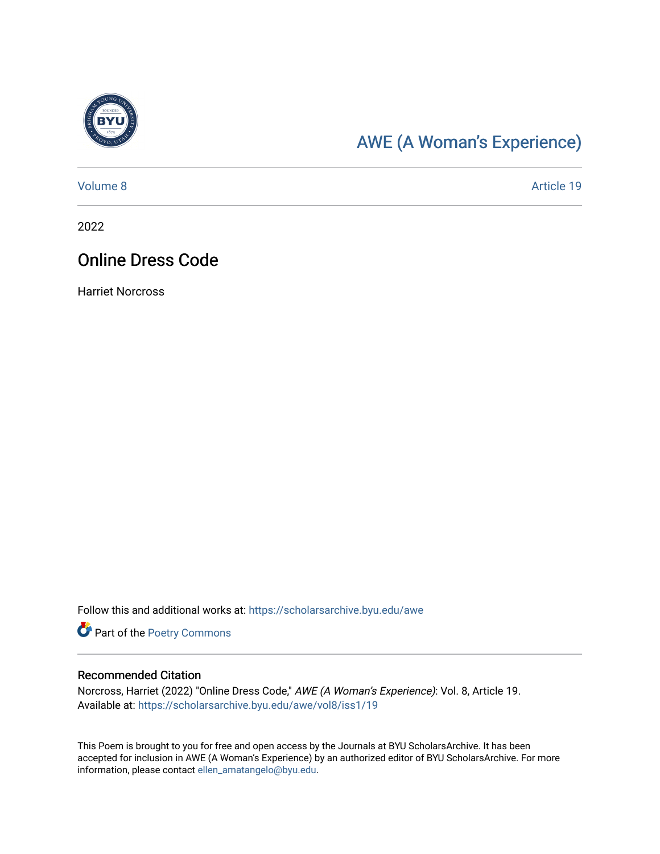

## [AWE \(A Woman's Experience\)](https://scholarsarchive.byu.edu/awe)

[Volume 8](https://scholarsarchive.byu.edu/awe/vol8) Article 19

2022

### Online Dress Code

Harriet Norcross

Follow this and additional works at: [https://scholarsarchive.byu.edu/awe](https://scholarsarchive.byu.edu/awe?utm_source=scholarsarchive.byu.edu%2Fawe%2Fvol8%2Fiss1%2F19&utm_medium=PDF&utm_campaign=PDFCoverPages)

Part of the [Poetry Commons](https://network.bepress.com/hgg/discipline/1153?utm_source=scholarsarchive.byu.edu%2Fawe%2Fvol8%2Fiss1%2F19&utm_medium=PDF&utm_campaign=PDFCoverPages) 

#### Recommended Citation

Norcross, Harriet (2022) "Online Dress Code," AWE (A Woman's Experience): Vol. 8, Article 19. Available at: [https://scholarsarchive.byu.edu/awe/vol8/iss1/19](https://scholarsarchive.byu.edu/awe/vol8/iss1/19?utm_source=scholarsarchive.byu.edu%2Fawe%2Fvol8%2Fiss1%2F19&utm_medium=PDF&utm_campaign=PDFCoverPages) 

This Poem is brought to you for free and open access by the Journals at BYU ScholarsArchive. It has been accepted for inclusion in AWE (A Woman's Experience) by an authorized editor of BYU ScholarsArchive. For more information, please contact [ellen\\_amatangelo@byu.edu.](mailto:ellen_amatangelo@byu.edu)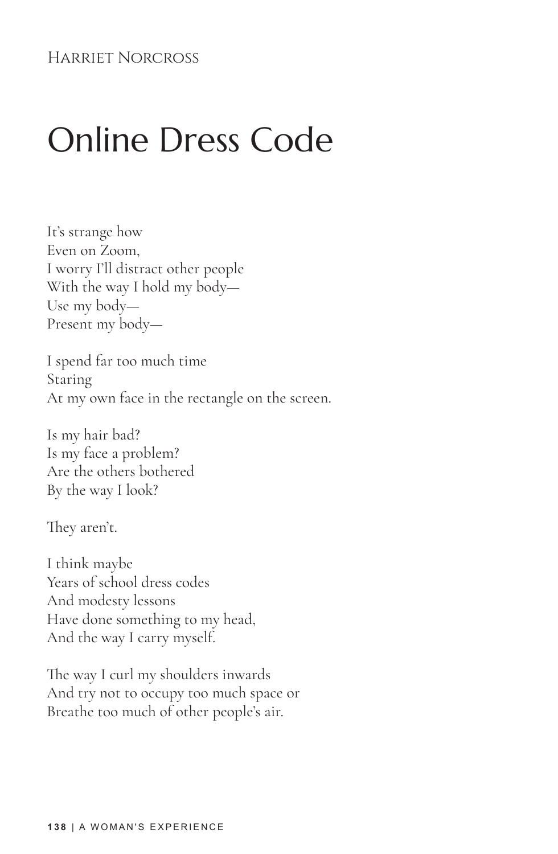#### Harriet Norcross

# Online Dress Code

It's strange how Even on Zoom, I worry I'll distract other people With the way I hold my body— Use my body— Present my body—

I spend far too much time Staring At my own face in the rectangle on the screen.

Is my hair bad? Is my face a problem? Are the others bothered By the way I look?

They aren't.

I think maybe Years of school dress codes And modesty lessons Have done something to my head, And the way I carry myself.

The way I curl my shoulders inwards And try not to occupy too much space or Breathe too much of other people's air.